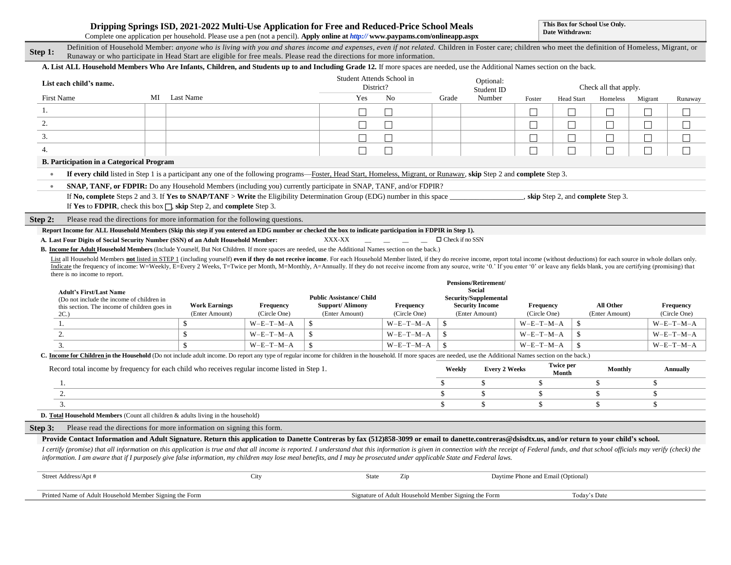|  | Dripping Springs ISD, 2021-2022 Multi-Use Application for Free and Reduced-Price School Meals |
|--|-----------------------------------------------------------------------------------------------|
|  |                                                                                               |

**This Box for School Use Only. Date Withdrawn:**

Complete one application per household. Please use a pen (not a pencil). **Apply online at** *http://* **www.paypams.com/onlineapp.aspx**

|                                                                                                                                                             | Complete one application per household. I lease use a pen (not a pencil). Apply online at <i>http://</i> www.paypanis.com/onlineapp.aspx                                                                                                                                                                                        |                                        |                           |                                          |                                                      |                        |                                          |                                     |                           |                       |               |                           |
|-------------------------------------------------------------------------------------------------------------------------------------------------------------|---------------------------------------------------------------------------------------------------------------------------------------------------------------------------------------------------------------------------------------------------------------------------------------------------------------------------------|----------------------------------------|---------------------------|------------------------------------------|------------------------------------------------------|------------------------|------------------------------------------|-------------------------------------|---------------------------|-----------------------|---------------|---------------------------|
| Step 1:                                                                                                                                                     | Definition of Household Member: anyone who is living with you and shares income and expenses, even if not related. Children in Foster care; children who meet the definition of Homeless, Migrant, or<br>Runaway or who participate in Head Start are eligible for free meals. Please read the directions for more information. |                                        |                           |                                          |                                                      |                        |                                          |                                     |                           |                       |               |                           |
|                                                                                                                                                             | A. List ALL Household Members Who Are Infants, Children, and Students up to and Including Grade 12. If more spaces are needed, use the Additional Names section on the back.                                                                                                                                                    |                                        |                           |                                          |                                                      |                        |                                          |                                     |                           |                       |               |                           |
|                                                                                                                                                             | List each child's name.                                                                                                                                                                                                                                                                                                         |                                        |                           | Student Attends School in<br>District?   |                                                      |                        | Optional:<br>Student ID                  |                                     |                           | Check all that apply. |               |                           |
| First Name                                                                                                                                                  |                                                                                                                                                                                                                                                                                                                                 | MI Last Name                           |                           | Yes                                      | No                                                   | Grade                  | Number                                   | Foster                              | <b>Head Start</b>         | Homeless              | Migrant       | Runaway                   |
| 1.                                                                                                                                                          |                                                                                                                                                                                                                                                                                                                                 |                                        |                           | П                                        | П                                                    |                        |                                          | $\overline{\phantom{a}}$            | $\Box$                    | $\Box$                | П             | □                         |
| 2.                                                                                                                                                          |                                                                                                                                                                                                                                                                                                                                 |                                        |                           | $\Box$                                   | $\Box$                                               |                        |                                          | $\Box$                              | $\Box$                    | $\Box$                | $\Box$        | $\Box$                    |
| 3.                                                                                                                                                          |                                                                                                                                                                                                                                                                                                                                 |                                        |                           | $\Box$                                   | $\Box$                                               |                        |                                          | $\Box$                              | $\Box$                    | $\Box$                | $\Box$        | $\Box$                    |
| 4.                                                                                                                                                          |                                                                                                                                                                                                                                                                                                                                 |                                        |                           | $\Box$                                   | $\Box$                                               |                        |                                          | $\Box$                              | $\Box$                    | $\Box$                | $\Box$        | $\Box$                    |
|                                                                                                                                                             | <b>B. Participation in a Categorical Program</b>                                                                                                                                                                                                                                                                                |                                        |                           |                                          |                                                      |                        |                                          |                                     |                           |                       |               |                           |
| $\bullet$                                                                                                                                                   | If every child listed in Step 1 is a participant any one of the following programs—Foster, Head Start, Homeless, Migrant, or Runaway, skip Step 2 and complete Step 3.                                                                                                                                                          |                                        |                           |                                          |                                                      |                        |                                          |                                     |                           |                       |               |                           |
| $\bullet$                                                                                                                                                   | SNAP, TANF, or FDPIR: Do any Household Members (including you) currently participate in SNAP, TANF, and/or FDPIR?                                                                                                                                                                                                               |                                        |                           |                                          |                                                      |                        |                                          |                                     |                           |                       |               |                           |
|                                                                                                                                                             | If No, complete Steps 2 and 3. If Yes to SNAP/TANF > Write the Eligibility Determination Group (EDG) number in this space                                                                                                                                                                                                       |                                        |                           |                                          |                                                      |                        |                                          | , skip Step 2, and complete Step 3. |                           |                       |               |                           |
|                                                                                                                                                             | If Yes to FDPIR, check this box $\Box$ , skip Step 2, and complete Step 3.                                                                                                                                                                                                                                                      |                                        |                           |                                          |                                                      |                        |                                          |                                     |                           |                       |               |                           |
| Step 2:                                                                                                                                                     | Please read the directions for more information for the following questions.                                                                                                                                                                                                                                                    |                                        |                           |                                          |                                                      |                        |                                          |                                     |                           |                       |               |                           |
|                                                                                                                                                             | Report Income for ALL Household Members (Skip this step if you entered an EDG number or checked the box to indicate participation in FDPIR in Step 1).                                                                                                                                                                          |                                        |                           |                                          |                                                      |                        |                                          |                                     |                           |                       |               |                           |
|                                                                                                                                                             | A. Last Four Digits of Social Security Number (SSN) of an Adult Household Member:                                                                                                                                                                                                                                               |                                        |                           | XXX-XX                                   | <u> 2001 - 2001 - 200</u><br>$\sim$                  | $\Box$ Check if no SSN |                                          |                                     |                           |                       |               |                           |
| <b>B. Income for Adult Household Members</b> (Include Yourself, But Not Children. If more spaces are needed, use the Additional Names section on the back.) |                                                                                                                                                                                                                                                                                                                                 |                                        |                           |                                          |                                                      |                        |                                          |                                     |                           |                       |               |                           |
|                                                                                                                                                             | List all Household Members not listed in STEP 1 (including yourself) even if they do not receive income. For each Household Member listed, if they do receive income, report total income (without deductions) for each source                                                                                                  |                                        |                           |                                          |                                                      |                        |                                          |                                     |                           |                       |               |                           |
|                                                                                                                                                             |                                                                                                                                                                                                                                                                                                                                 |                                        |                           |                                          |                                                      |                        |                                          |                                     |                           |                       |               |                           |
|                                                                                                                                                             | Indicate the frequency of income: W=Weekly, E=Every 2 Weeks, T=Twice per Month, M=Monthly, A=Annually. If they do not receive income from any source, write '0.' If you enter '0' or leave any fields blank, you are certifyin                                                                                                  |                                        |                           |                                          |                                                      |                        |                                          |                                     |                           |                       |               |                           |
|                                                                                                                                                             | there is no income to report.                                                                                                                                                                                                                                                                                                   |                                        |                           |                                          |                                                      |                        | <b>Pensions/Retirement/</b>              |                                     |                           |                       |               |                           |
|                                                                                                                                                             | <b>Adult's First/Last Name</b>                                                                                                                                                                                                                                                                                                  |                                        |                           |                                          |                                                      |                        | <b>Social</b>                            |                                     |                           |                       |               |                           |
|                                                                                                                                                             | (Do not include the income of children in                                                                                                                                                                                                                                                                                       |                                        |                           | <b>Public Assistance/ Child</b>          |                                                      |                        | Security/Supplemental                    |                                     |                           | All Other             |               |                           |
|                                                                                                                                                             | this section. The income of children goes in<br>2C.                                                                                                                                                                                                                                                                             | <b>Work Earnings</b><br>(Enter Amount) | Frequency<br>(Circle One) | <b>Support/Alimony</b><br>(Enter Amount) | Frequency<br>(Circle One)                            |                        | <b>Security Income</b><br>(Enter Amount) | Frequency<br>(Circle One)           |                           | (Enter Amount)        |               | Frequency<br>(Circle One) |
| 1.                                                                                                                                                          |                                                                                                                                                                                                                                                                                                                                 | $\mathbb{S}$                           | $W-E-T-M-A$               | $\mathbb{S}$                             | $W-E-T-M-A$                                          | $\mathbf{\hat{S}}$     |                                          | $W-E-T-M-A$                         | \$                        |                       |               | $W-E-T-M-A$               |
| 2.                                                                                                                                                          |                                                                                                                                                                                                                                                                                                                                 | $\mathbf{s}$                           | $W-E-T-M-A$               | \$                                       | $W-E-T-M-A$                                          | \$                     |                                          | $W-E-T-M-A$                         | \$                        |                       |               | $W-E-T-M-A$               |
| 3.                                                                                                                                                          |                                                                                                                                                                                                                                                                                                                                 | $\mathcal{S}$                          | $W-E-T-M-A$               | $\mathbf{s}$                             | $W-E-T-M-A$                                          | $\mathbf{s}$           |                                          | $W-E-T-M-A$                         | \$                        |                       |               | $W-E-T-M-A$               |
|                                                                                                                                                             | C. Income for Children in the Household (Do not include adult income. Do report any type of regular income for children in the household. If more spaces are needed, use the Additional Names section on the back.)                                                                                                             |                                        |                           |                                          |                                                      |                        |                                          |                                     |                           |                       |               |                           |
|                                                                                                                                                             | Record total income by frequency for each child who receives regular income listed in Step 1.                                                                                                                                                                                                                                   |                                        |                           |                                          |                                                      | Weekly                 | <b>Every 2 Weeks</b>                     |                                     | <b>Twice per</b><br>Month | <b>Monthly</b>        |               | Annually                  |
| 1.                                                                                                                                                          |                                                                                                                                                                                                                                                                                                                                 |                                        |                           |                                          |                                                      | $\mathbb{S}$           | \$                                       | $\mathbb{S}$                        |                           | <sup>\$</sup>         | \$            |                           |
| 2.                                                                                                                                                          |                                                                                                                                                                                                                                                                                                                                 |                                        |                           |                                          |                                                      | $\mathbb{S}$           | \$                                       | \$                                  |                           | \$                    | \$            |                           |
| 3.                                                                                                                                                          |                                                                                                                                                                                                                                                                                                                                 |                                        |                           |                                          |                                                      | $\mathbf{\hat{S}}$     | \$                                       | \$                                  |                           | \$                    | $\mathsf{\$}$ |                           |
|                                                                                                                                                             | D. Total Household Members (Count all children & adults living in the household)                                                                                                                                                                                                                                                |                                        |                           |                                          |                                                      |                        |                                          |                                     |                           |                       |               |                           |
| Step 3:                                                                                                                                                     | Please read the directions for more information on signing this form.                                                                                                                                                                                                                                                           |                                        |                           |                                          |                                                      |                        |                                          |                                     |                           |                       |               |                           |
|                                                                                                                                                             | Provide Contact Information and Adult Signature. Return this application to Danette Contreras by fax (512)858-3099 or email to danette.contreras@dsisdtx.us, and/or return to your child's school.                                                                                                                              |                                        |                           |                                          |                                                      |                        |                                          |                                     |                           |                       |               |                           |
|                                                                                                                                                             | I certify (promise) that all information on this application is true and that all income is reported. I understand that this information is given in connection with the receipt of Federal funds, and that school officials m                                                                                                  |                                        |                           |                                          |                                                      |                        |                                          |                                     |                           |                       |               |                           |
|                                                                                                                                                             | information. I am aware that if I purposely give false information, my children may lose meal benefits, and I may be prosecuted under applicable State and Federal laws.                                                                                                                                                        |                                        |                           |                                          |                                                      |                        |                                          |                                     |                           |                       |               |                           |
|                                                                                                                                                             | Street Address/Apt #                                                                                                                                                                                                                                                                                                            |                                        | City                      | <b>State</b>                             | Zip                                                  |                        |                                          | Daytime Phone and Email (Optional)  |                           |                       |               |                           |
|                                                                                                                                                             |                                                                                                                                                                                                                                                                                                                                 |                                        |                           |                                          |                                                      |                        |                                          |                                     |                           |                       |               |                           |
|                                                                                                                                                             | Printed Name of Adult Household Member Signing the Form                                                                                                                                                                                                                                                                         |                                        |                           |                                          | Signature of Adult Household Member Signing the Form |                        |                                          |                                     | Today's Date              |                       |               |                           |